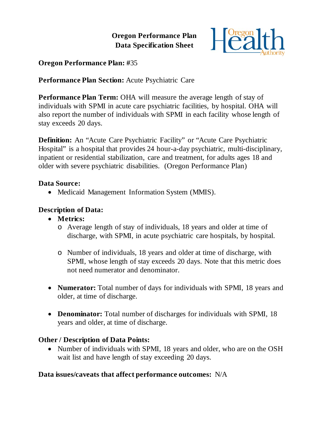# **Oregon Performance Plan Data Specification Sheet**



# **Oregon Performance Plan: #**35

# **Performance Plan Section:** Acute Psychiatric Care

**Performance Plan Term:** OHA will measure the average length of stay of individuals with SPMI in acute care psychiatric facilities, by hospital. OHA will also report the number of individuals with SPMI in each facility whose length of stay exceeds 20 days.

**Definition:** An "Acute Care Psychiatric Facility" or "Acute Care Psychiatric Hospital" is a hospital that provides 24 hour-a-day psychiatric, multi-disciplinary, inpatient or residential stabilization, care and treatment, for adults ages 18 and older with severe psychiatric disabilities. (Oregon Performance Plan)

#### **Data Source:**

• Medicaid Management Information System (MMIS).

# **Description of Data:**

- **Metrics:**
	- o Average length of stay of individuals, 18 years and older at time of discharge, with SPMI, in acute psychiatric care hospitals, by hospital.
	- o Number of individuals, 18 years and older at time of discharge, with SPMI, whose length of stay exceeds 20 days. Note that this metric does not need numerator and denominator.
- **Numerator:** Total number of days for individuals with SPMI, 18 years and older, at time of discharge.
- **Denominator:** Total number of discharges for individuals with SPMI, 18 years and older, at time of discharge.

# **Other / Description of Data Points:**

• Number of individuals with SPMI, 18 years and older, who are on the OSH wait list and have length of stay exceeding 20 days.

# **Data issues/caveats that affect performance outcomes:** N/A